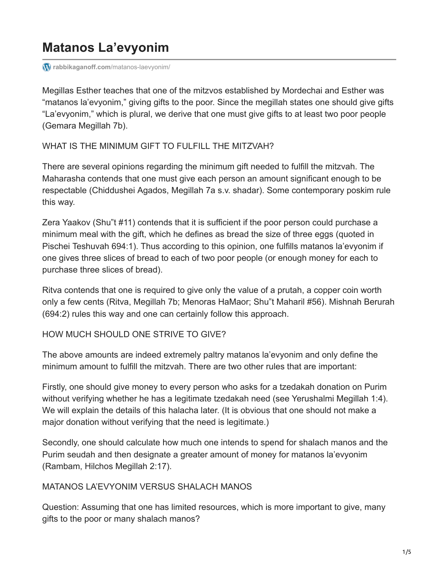# **Matanos La'evyonim**

*<u></u>r rabbikaganoff.com[/matanos-laevyonim/](http://rabbikaganoff.com/matanos-laevyonim/)* 

Megillas Esther teaches that one of the mitzvos established by Mordechai and Esther was "matanos la'evyonim," giving gifts to the poor. Since the megillah states one should give gifts "La'evyonim," which is plural, we derive that one must give gifts to at least two poor people (Gemara Megillah 7b).

WHAT IS THE MINIMUM GIFT TO FULFILL THE MITZVAH?

There are several opinions regarding the minimum gift needed to fulfill the mitzvah. The Maharasha contends that one must give each person an amount significant enough to be respectable (Chiddushei Agados, Megillah 7a s.v. shadar). Some contemporary poskim rule this way.

Zera Yaakov (Shu"t #11) contends that it is sufficient if the poor person could purchase a minimum meal with the gift, which he defines as bread the size of three eggs (quoted in Pischei Teshuvah 694:1). Thus according to this opinion, one fulfills matanos la'evyonim if one gives three slices of bread to each of two poor people (or enough money for each to purchase three slices of bread).

Ritva contends that one is required to give only the value of a prutah, a copper coin worth only a few cents (Ritva, Megillah 7b; Menoras HaMaor; Shu"t Maharil #56). Mishnah Berurah (694:2) rules this way and one can certainly follow this approach.

#### HOW MUCH SHOULD ONE STRIVE TO GIVE?

The above amounts are indeed extremely paltry matanos la'evyonim and only define the minimum amount to fulfill the mitzvah. There are two other rules that are important:

Firstly, one should give money to every person who asks for a tzedakah donation on Purim without verifying whether he has a legitimate tzedakah need (see Yerushalmi Megillah 1:4). We will explain the details of this halacha later. (It is obvious that one should not make a major donation without verifying that the need is legitimate.)

Secondly, one should calculate how much one intends to spend for shalach manos and the Purim seudah and then designate a greater amount of money for matanos la'evyonim (Rambam, Hilchos Megillah 2:17).

#### MATANOS LA'EVYONIM VERSUS SHALACH MANOS

Question: Assuming that one has limited resources, which is more important to give, many gifts to the poor or many shalach manos?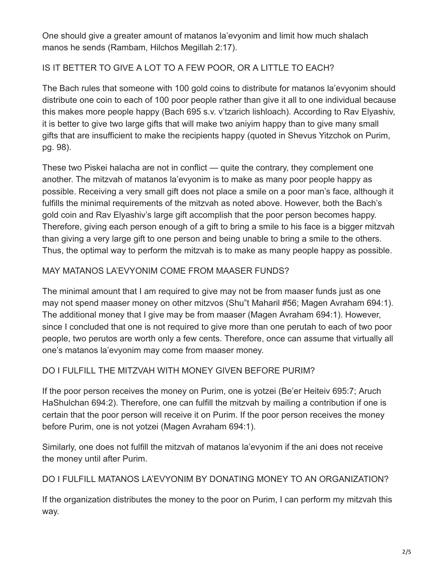One should give a greater amount of matanos la'evyonim and limit how much shalach manos he sends (Rambam, Hilchos Megillah 2:17).

## IS IT BETTER TO GIVE A LOT TO A FEW POOR, OR A LITTLE TO EACH?

The Bach rules that someone with 100 gold coins to distribute for matanos la'evyonim should distribute one coin to each of 100 poor people rather than give it all to one individual because this makes more people happy (Bach 695 s.v. v'tzarich lishloach). According to Rav Elyashiv, it is better to give two large gifts that will make two aniyim happy than to give many small gifts that are insufficient to make the recipients happy (quoted in Shevus Yitzchok on Purim, pg. 98).

These two Piskei halacha are not in conflict — quite the contrary, they complement one another. The mitzvah of matanos la'evyonim is to make as many poor people happy as possible. Receiving a very small gift does not place a smile on a poor man's face, although it fulfills the minimal requirements of the mitzvah as noted above. However, both the Bach's gold coin and Rav Elyashiv's large gift accomplish that the poor person becomes happy. Therefore, giving each person enough of a gift to bring a smile to his face is a bigger mitzvah than giving a very large gift to one person and being unable to bring a smile to the others. Thus, the optimal way to perform the mitzvah is to make as many people happy as possible.

#### MAY MATANOS LA'EVYONIM COME FROM MAASER FUNDS?

The minimal amount that I am required to give may not be from maaser funds just as one may not spend maaser money on other mitzvos (Shu"t Maharil #56; Magen Avraham 694:1). The additional money that I give may be from maaser (Magen Avraham 694:1). However, since I concluded that one is not required to give more than one perutah to each of two poor people, two perutos are worth only a few cents. Therefore, once can assume that virtually all one's matanos la'evyonim may come from maaser money.

#### DO I FULFILL THE MITZVAH WITH MONEY GIVEN BEFORE PURIM?

If the poor person receives the money on Purim, one is yotzei (Be'er Heiteiv 695:7; Aruch HaShulchan 694:2). Therefore, one can fulfill the mitzvah by mailing a contribution if one is certain that the poor person will receive it on Purim. If the poor person receives the money before Purim, one is not yotzei (Magen Avraham 694:1).

Similarly, one does not fulfill the mitzvah of matanos la'evyonim if the ani does not receive the money until after Purim.

#### DO I FULFILL MATANOS LA'EVYONIM BY DONATING MONEY TO AN ORGANIZATION?

If the organization distributes the money to the poor on Purim, I can perform my mitzvah this way.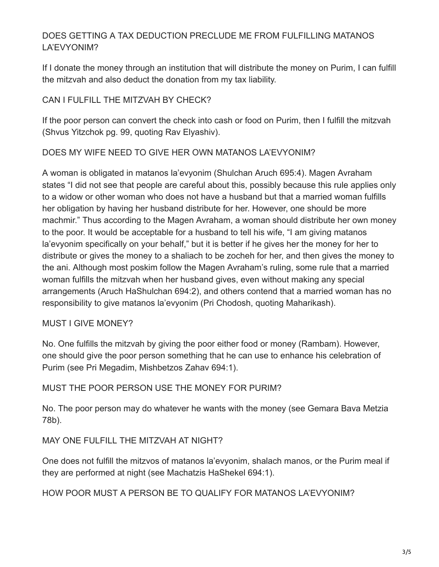## DOES GETTING A TAX DEDUCTION PRECLUDE ME FROM FULFILLING MATANOS LA'EVYONIM?

If I donate the money through an institution that will distribute the money on Purim, I can fulfill the mitzvah and also deduct the donation from my tax liability.

#### CAN I FULFILL THE MITZVAH BY CHECK?

If the poor person can convert the check into cash or food on Purim, then I fulfill the mitzvah (Shvus Yitzchok pg. 99, quoting Rav Elyashiv).

#### DOES MY WIFE NEED TO GIVE HER OWN MATANOS LA'EVYONIM?

A woman is obligated in matanos la'evyonim (Shulchan Aruch 695:4). Magen Avraham states "I did not see that people are careful about this, possibly because this rule applies only to a widow or other woman who does not have a husband but that a married woman fulfills her obligation by having her husband distribute for her. However, one should be more machmir." Thus according to the Magen Avraham, a woman should distribute her own money to the poor. It would be acceptable for a husband to tell his wife, "I am giving matanos la'evyonim specifically on your behalf," but it is better if he gives her the money for her to distribute or gives the money to a shaliach to be zocheh for her, and then gives the money to the ani. Although most poskim follow the Magen Avraham's ruling, some rule that a married woman fulfills the mitzvah when her husband gives, even without making any special arrangements (Aruch HaShulchan 694:2), and others contend that a married woman has no responsibility to give matanos la'evyonim (Pri Chodosh, quoting Maharikash).

#### MUST I GIVE MONEY?

No. One fulfills the mitzvah by giving the poor either food or money (Rambam). However, one should give the poor person something that he can use to enhance his celebration of Purim (see Pri Megadim, Mishbetzos Zahav 694:1).

#### MUST THE POOR PERSON USE THE MONEY FOR PURIM?

No. The poor person may do whatever he wants with the money (see Gemara Bava Metzia 78b).

#### MAY ONE FULFILL THE MITZVAH AT NIGHT?

One does not fulfill the mitzvos of matanos la'evyonim, shalach manos, or the Purim meal if they are performed at night (see Machatzis HaShekel 694:1).

HOW POOR MUST A PERSON BE TO QUALIFY FOR MATANOS LA'EVYONIM?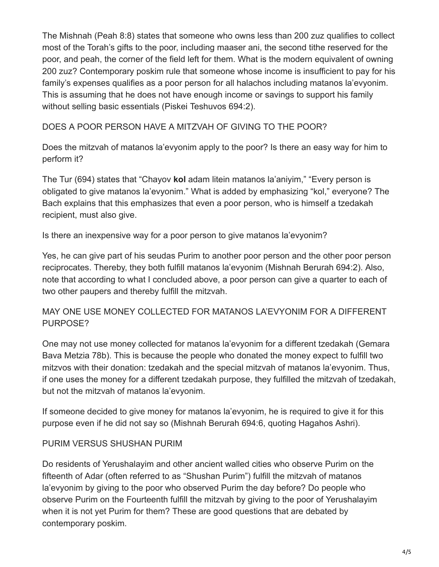The Mishnah (Peah 8:8) states that someone who owns less than 200 zuz qualifies to collect most of the Torah's gifts to the poor, including maaser ani, the second tithe reserved for the poor, and peah, the corner of the field left for them. What is the modern equivalent of owning 200 zuz? Contemporary poskim rule that someone whose income is insufficient to pay for his family's expenses qualifies as a poor person for all halachos including matanos la'evyonim. This is assuming that he does not have enough income or savings to support his family without selling basic essentials (Piskei Teshuvos 694:2).

DOES A POOR PERSON HAVE A MITZVAH OF GIVING TO THE POOR?

Does the mitzvah of matanos la'evyonim apply to the poor? Is there an easy way for him to perform it?

The Tur (694) states that "Chayov **kol** adam litein matanos la'aniyim," "Every person is obligated to give matanos la'evyonim." What is added by emphasizing "kol," everyone? The Bach explains that this emphasizes that even a poor person, who is himself a tzedakah recipient, must also give.

Is there an inexpensive way for a poor person to give matanos la'evyonim?

Yes, he can give part of his seudas Purim to another poor person and the other poor person reciprocates. Thereby, they both fulfill matanos la'evyonim (Mishnah Berurah 694:2). Also, note that according to what I concluded above, a poor person can give a quarter to each of two other paupers and thereby fulfill the mitzvah.

#### MAY ONE USE MONEY COLLECTED FOR MATANOS LA'EVYONIM FOR A DIFFERENT PURPOSE?

One may not use money collected for matanos la'evyonim for a different tzedakah (Gemara Bava Metzia 78b). This is because the people who donated the money expect to fulfill two mitzvos with their donation: tzedakah and the special mitzvah of matanos la'evyonim. Thus, if one uses the money for a different tzedakah purpose, they fulfilled the mitzvah of tzedakah, but not the mitzvah of matanos la'evyonim.

If someone decided to give money for matanos la'evyonim, he is required to give it for this purpose even if he did not say so (Mishnah Berurah 694:6, quoting Hagahos Ashri).

#### PURIM VERSUS SHUSHAN PURIM

Do residents of Yerushalayim and other ancient walled cities who observe Purim on the fifteenth of Adar (often referred to as "Shushan Purim") fulfill the mitzvah of matanos la'evyonim by giving to the poor who observed Purim the day before? Do people who observe Purim on the Fourteenth fulfill the mitzvah by giving to the poor of Yerushalayim when it is not yet Purim for them? These are good questions that are debated by contemporary poskim.